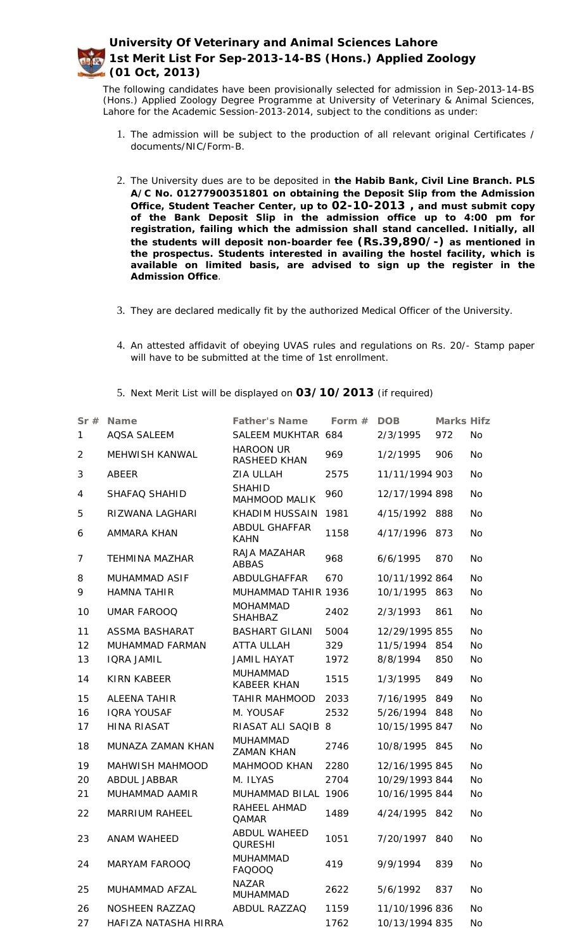The following candidates have been provisionally selected for admission in Sep-2013-14-BS (Hons.) Applied Zoology Degree Programme at University of Veterinary & Animal Sciences, Lahore for the Academic Session-2013-2014, subject to the conditions as under:

- 1. The admission will be subject to the production of all relevant original Certificates / documents/NIC/Form-B.
- 2. The University dues are to be deposited in **the Habib Bank, Civil Line Branch. PLS A/C No. 01277900351801 on obtaining the Deposit Slip from the Admission Office, Student Teacher Center, up to 02-10-2013 , and must submit copy of the Bank Deposit Slip in the admission office up to 4:00 pm for registration, failing which the admission shall stand cancelled. Initially, all the students will deposit non-boarder fee (Rs.39,890/-) as mentioned in the prospectus. Students interested in availing the hostel facility, which is available on limited basis, are advised to sign up the register in the Admission Office**.
- 3. They are declared medically fit by the authorized Medical Officer of the University.
- 4. An attested affidavit of obeying UVAS rules and regulations on Rs. 20/- Stamp paper will have to be submitted at the time of 1st enrollment.
- 5. Next Merit List will be displayed on **03/10/2013** (if required)

| Sr#            | Name                  | <b>Father's Name</b>                  | Form $#$ | <b>DOB</b>     | Marks Hifz |           |
|----------------|-----------------------|---------------------------------------|----------|----------------|------------|-----------|
| 1              | <b>AQSA SALEEM</b>    | SALEEM MUKHTAR 684                    |          | 2/3/1995       | 972        | <b>No</b> |
| $\overline{2}$ | MEHWISH KANWAL        | <b>HAROON UR</b><br>RASHEED KHAN      | 969      | 1/2/1995       | 906        | <b>No</b> |
| 3              | <b>ABEER</b>          | ZIA ULLAH                             | 2575     | 11/11/1994 903 |            | <b>No</b> |
| 4              | SHAFAQ SHAHID         | <b>SHAHID</b><br>MAHMOOD MALIK        | 960      | 12/17/1994 898 |            | <b>No</b> |
| 5              | RIZWANA LAGHARI       | <b>KHADIM HUSSAIN</b>                 | 1981     | 4/15/1992 888  |            | No        |
| 6              | AMMARA KHAN           | <b>ABDUL GHAFFAR</b><br><b>KAHN</b>   | 1158     | 4/17/1996      | 873        | <b>No</b> |
| 7              | <b>TEHMINA MAZHAR</b> | RAJA MAZAHAR<br><b>ABBAS</b>          | 968      | 6/6/1995       | 870        | <b>No</b> |
| 8              | <b>MUHAMMAD ASIF</b>  | ABDULGHAFFAR                          | 670      | 10/11/1992 864 |            | <b>No</b> |
| 9              | <b>HAMNA TAHIR</b>    | MUHAMMAD TAHIR 1936                   |          | 10/1/1995 863  |            | <b>No</b> |
| 10             | <b>UMAR FAROOQ</b>    | <b>MOHAMMAD</b><br><b>SHAHBAZ</b>     | 2402     | 2/3/1993       | 861        | <b>No</b> |
| 11             | ASSMA BASHARAT        | <b>BASHART GILANI</b>                 | 5004     | 12/29/1995 855 |            | <b>No</b> |
| 12             | MUHAMMAD FARMAN       | <b>ATTA ULLAH</b>                     | 329      | 11/5/1994 854  |            | <b>No</b> |
| 13             | <b>IQRA JAMIL</b>     | <b>JAMIL HAYAT</b>                    | 1972     | 8/8/1994       | 850        | <b>No</b> |
| 14             | KIRN KABEER           | MUHAMMAD<br><b>KABEER KHAN</b>        | 1515     | 1/3/1995       | 849        | <b>No</b> |
| 15             | <b>ALEENA TAHIR</b>   | <b>TAHIR MAHMOOD</b>                  | 2033     | 7/16/1995 849  |            | <b>No</b> |
| 16             | <b>IQRA YOUSAF</b>    | M. YOUSAF                             | 2532     | 5/26/1994 848  |            | <b>No</b> |
| 17             | <b>HINA RIASAT</b>    | RIASAT ALI SAQIB 8                    |          | 10/15/1995 847 |            | <b>No</b> |
| 18             | MUNAZA ZAMAN KHAN     | <b>MUHAMMAD</b><br><b>ZAMAN KHAN</b>  | 2746     | 10/8/1995 845  |            | <b>No</b> |
| 19             | MAHWISH MAHMOOD       | MAHMOOD KHAN                          | 2280     | 12/16/1995 845 |            | <b>No</b> |
| 20             | <b>ABDUL JABBAR</b>   | M. ILYAS                              | 2704     | 10/29/1993 844 |            | <b>No</b> |
| 21             | MUHAMMAD AAMIR        | MUHAMMAD BILAL 1906                   |          | 10/16/1995 844 |            | No        |
| 22             | MARRIUM RAHEEL        | RAHEEL AHMAD<br>QAMAR                 | 1489     | 4/24/1995 842  |            | No        |
| 23             | ANAM WAHEED           | <b>ABDUL WAHEED</b><br><b>QURESHI</b> | 1051     | 7/20/1997 840  |            | <b>No</b> |
| 24             | MARYAM FAROOQ         | <b>MUHAMMAD</b><br>FAQOOQ             | 419      | 9/9/1994       | 839        | <b>No</b> |
| 25             | MUHAMMAD AFZAL        | <b>NAZAR</b><br>MUHAMMAD              | 2622     | 5/6/1992       | 837        | No        |
| 26             | NOSHEEN RAZZAQ        | ABDUL RAZZAQ                          | 1159     | 11/10/1996 836 |            | <b>No</b> |
| 27             | HAFIZA NATASHA HIRRA  |                                       | 1762     | 10/13/1994 835 |            | No        |